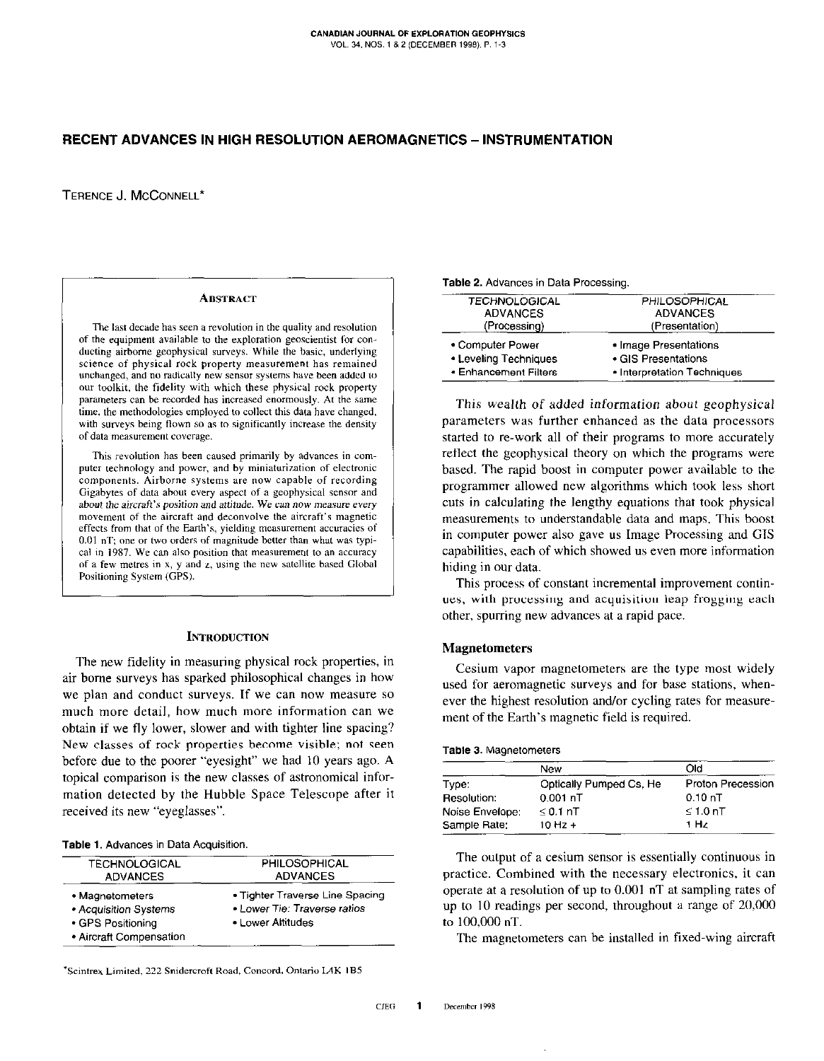# RECENT ADVANCES IN HIGH RESOLUTION AEROMAGNETICS - INSTRUMENTATION

TERENCE J. MCCONNELL\*

#### **ABSTRACT**

The last decade has seen a revolution in the quality and resolution of the equipment available to the exploration geoscientist for conducting airborne geophysical surveys. While the basic, underlying science of physical rock property measurement has remained unchanged, and no radically new sensor systems have been added to our toolkit, the fidelity with which these physical rock property parameters can be recorded has increased enormously. At the same time, the methodologies employed to collect this data have changed, with surveys being flown so as to significantly increase the density of data measurement coverage.

This revolution has been caused primarily by advances in computer technology and power, and by miniaturization of electronic components. Airborne systems are now capable of recording Gigabytes of data about every aspect of a geophysical sensor and about the aircraft's position and attitude. We can now measure every movement of the aircraft and deconvolve the aircraft's magnetic effects from that of the Earth's, yielding measurement accuracies of  $0.01$  nT; one or two orders of magnitude better than what was typical in 1987. We can also position that measurement to an accuracy of a few metres in x, y and z, using the new satellite based Global Positioning System (GPS).

### **INTRODUCTION**

The new fidelity in measuring physical rock properties, in air borne surveys has sparked philosophical changes in how we plan and conduct surveys. If we can now measure so much more detail, how much more information can we obtain if we fly lower, slower and with tighter line spacing? New classes of rock properties become visible; not seen before due to the poorer "eyesight" we had 10 years ago. A topical comparison is the new classes of astronomical information detected by the Hubble Space Telescope after it received its new "eyeglasses".

### Table 1. Advances in Data Acquisition.

| <b>TECHNOLOGICAL</b>                                                                     | PHILOSOPHICAL                                                                        |
|------------------------------------------------------------------------------------------|--------------------------------------------------------------------------------------|
| <b>ADVANCES</b>                                                                          | <b>ADVANCES</b>                                                                      |
| • Magnetometers<br>• Acquisition Systems<br>• GPS Positioning<br>• Aircraft Compensation | • Tighter Traverse Line Spacing<br>• Lower Tie: Traverse ratios<br>• Lower Altitudes |

\*Scintrex Limited, 222 Snidercroft Road, Concord, Ontario L4K 1B5

Table 2. Advances in Data Processing.

| <b>TECHNOLOGICAL</b>                                               | PHILOSOPHICAL                                                               |  |
|--------------------------------------------------------------------|-----------------------------------------------------------------------------|--|
| <b>ADVANCES</b>                                                    | <b>ADVANCES</b>                                                             |  |
| (Processing)                                                       | (Presentation)                                                              |  |
| • Computer Power<br>• Leveling Techniques<br>• Enhancement Filters | • Image Presentations<br>• GIS Presentations<br>• Interpretation Techniques |  |

This wealth of added information about geophysical parameters was further enhanced as the data processors started to re-work all of their programs to more accurately reflect the geophysical theory on which the programs were based. The rapid boost in computer power available to the programmer allowed new algorithms which took less short cuts in calculating the lengthy equations that took physical measurements to understandable data and maps. This boost in computer power also gave us Image Processing and GIS capabilities, each of which showed us even more information hiding in our data.

This process of constant incremental improvement continues, with processing and acquisition leap frogging each other, spurring new advances at a rapid pace.

## **Magnetometers**

Cesium vapor magnetometers are the type most widely used for aeromagnetic surveys and for base stations, whenever the highest resolution and/or cycling rates for measurement of the Earth's magnetic field is required.

#### Table 3. Magnetometers

|                 | New                     | Old                      |
|-----------------|-------------------------|--------------------------|
| Type:           | Optically Pumped Cs, He | <b>Proton Precession</b> |
| Resolution:     | $0.001$ nT              | 0.10 nT                  |
| Noise Envelope: | $\leq$ 0.1 nT           | $\leq 1.0$ nT            |
| Sample Rate:    | $10 Hz +$               | 1 Hz                     |

The output of a cesium sensor is essentially continuous in practice. Combined with the necessary electronics, it can operate at a resolution of up to 0.001 nT at sampling rates of up to 10 readings per second, throughout a range of 20,000 to 100,000 nT.

The magnetometers can be installed in fixed-wing aircraft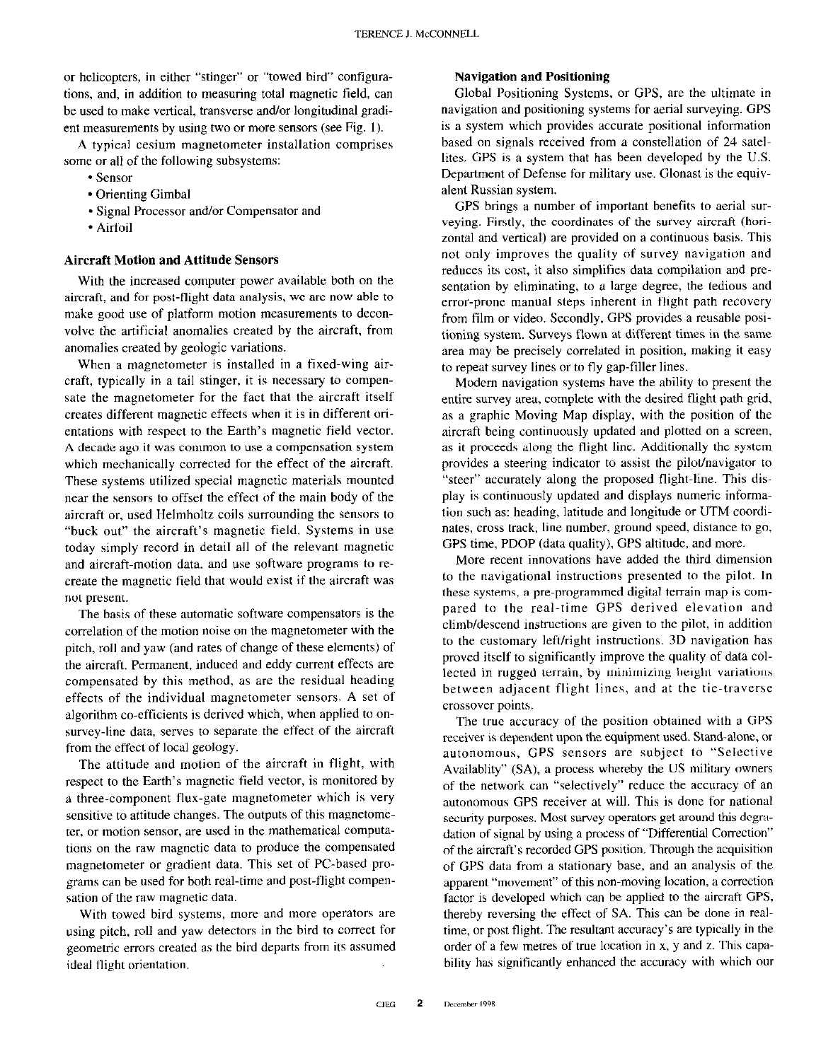or helicopters, in either "stinger" or "towed bird" configurations, and, in addition to measuring total magnetic field, can be used to make vertical, transverse and/or longitudinal gradient measurements by using two or more sensors (see Fig. 1).

A typical cesium magnetometer installation comprises some or all of the following subsystems:

- sensor
- \* Orienting Gimbal
- \* Signal Processor and/or Compensator and
- \* Airfoil

## Aircraft Motion and Attitude Sensors

With the increased computer power available both on the aircraft, and for post-flight data analysis, we are now able to make good use of platform motion measurements to deconvalve the artificial anomalies created by the aircraft, from anomalies created by geologic variations.

When a magnetometer is installed in a fixed-wing aircraft, typically in a tail stinger, it is necessary to compensate the magnetometer for the fact that the aircraft itself creates different magnetic effects when it is in different orientations with respect to the Earth's magnetic field vector. A decade ago it was common to use a compensation system which mechanically corrected for the effect of the aircraft. These systems utilized special magnetic materials mounted near the sensors to offset the effect of the main body of the aircraft or, used Helmholtz coils surrounding the sensors to "buck out" the aircraft's magnetic field. Systems in use today simply record in detail all of the relevant magnetic and aircraft-motion data. and use software programs to recreate the magnetic field that would exist if the aircraft was not present.

The basis of these automatic software compensators is the correlation of the motion noise on the magnetometer with the pitch, roll and yaw (and rates of change of these elements) of the aircraft. Permanent, induced and eddy current effects are compensated by this method, as are the residual heading effects of the individual magnetometer sensors. A set of algorithm co-efficients is derived which, when applied to onsurvey-line data, serves to separate the effect of the aircraft from the effect of local geology.

The attitude and motion of the aircraft in flight, with respect to the Earth's magnetic field vector, is monitored by a three-component flux-gate magnetometer which is very sensitive to attitude changes. The outputs of this magnetometer, or motion sensor, are used in the mathematical computations on the raw magnetic data to produce the compensated magnetometer or gradient data. This set of PC-based programs can be used for both real-time and post-flight compensation of the raw magnetic data.

With towed bird systems, more and more operators are using pitch, roll and yaw detectors in the bird to correct for geometric errors created as the bird departs from its assumed ideal flight orientation.

## Navigation and Positioning

Global Positioning Systems, or GPS, are the ultimate in navigation and positioning systems for aerial surveying. GPS is a system which provides accurate positional information based on signals received from a constellation of 24 satellites. GPS is a system that has been developed by the U.S. Department of Defense for military use. Glonast is the equivalent Russian system.

GPS brings a number of important benefits to aerial surveying. Firstly, the coordinates of the survey aircraft (horizontal and vertical) are provided on a continuous basis. This not only improves the quality of survey navigation and reduces its cost, it also simplifies data compilation and presentation by eliminating, to a large degree, the tedious and error-prone manual steps inherent in flight path recovery from film or video. Secondly, GPS provides a reusable positioning system. Surveys flown at different times in the same area may be precisely correlated in position, making it easy to repeat survey lines or to fly gap-filler lines.

Modem navigation systems have the ability to present the entire survey area, complete with the desired flight path grid, as a graphic Moving Map display, with the position of the aircraft being continuously updated and plotted on a screen, as it proceeds along the flight line. Additionally the system provides a steering indicator to assist the pilot/navigator to "steer" accurately along the proposed flight-line. This display is continuously updated and displays numeric information such as: heading, latitude and longitude or UTM coordinates, cross track, line number, ground speed, distance to go, GPS time, PDOP (data quality), GPS altitude, and more.

More recent innovations have added the third dimension to the navigational instructions presented to the pilot. In these systems, a pre-programmed digital terrain map is compared to the real-time GPS derived elevation and climb/descend instructions are given to the pilot, in addition to the customary left/right instructions. 3D navigation has proved itself to significantly improve the quality of data collected in rugged terrain, by minimizing height variations between adjacent flight lines, and at the tie-traverse crossover points.

The true accuracy of the position obtained with a GPS receiver is dependent upon the equipment used. Stand-alone, or autonomous, GPS sensors are subject to "Selective Availablity" (SA), a process whereby the US military owners of the network can "selectively" reduce the accuracy of an autonomous GPS receiver at will. This is done for national security purposes. Most survey operators get around this degradation of signal by using a process of "Differential Correction" of the aircraft's recorded GPS position. Through the acquisition of GPS data from a stationary base, and an analysis of the apparent "movement" of this non-moving location, a correction factor is developed which can be applied to the aircraft GPS, thereby reversing the effect of SA. This can be done in realtime, or post tlight. The resultant accuracy's are typically in the order of a few metres of true location in x, y and z. This capability has significantly enhanced the accuracy with which our